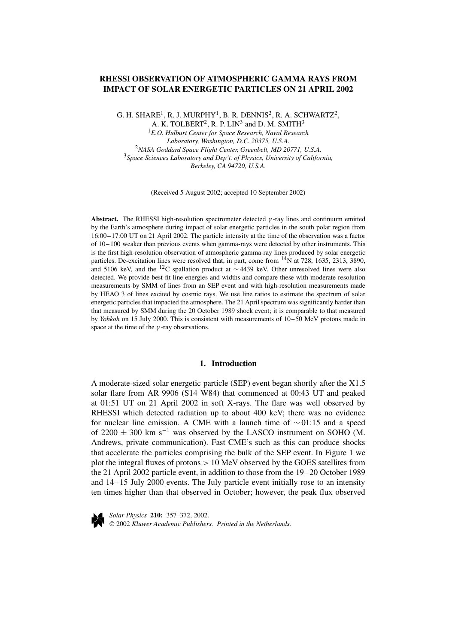# **RHESSI OBSERVATION OF ATMOSPHERIC GAMMA RAYS FROM IMPACT OF SOLAR ENERGETIC PARTICLES ON 21 APRIL 2002**

G. H. SHARE<sup>1</sup>, R. J. MURPHY<sup>1</sup>, B. R. DENNIS<sup>2</sup>, R. A. SCHWARTZ<sup>2</sup>, A. K. TOLBERT<sup>2</sup>, R. P. LIN<sup>3</sup> and D. M. SMITH<sup>3</sup>

<sup>1</sup>*E.O. Hulburt Center for Space Research, Naval Research Laboratory, Washington, D.C. 20375, U.S.A.* <sup>2</sup>*NASA Goddard Space Flight Center, Greenbelt, MD 20771, U.S.A.* <sup>3</sup>*Space Sciences Laboratory and Dep't. of Physics, University of California, Berkeley, CA 94720, U.S.A.*

(Received 5 August 2002; accepted 10 September 2002)

**Abstract.** The RHESSI high-resolution spectrometer detected *γ* -ray lines and continuum emitted by the Earth's atmosphere during impact of solar energetic particles in the south polar region from 16:00–17:00 UT on 21 April 2002. The particle intensity at the time of the observation was a factor of 10–100 weaker than previous events when gamma-rays were detected by other instruments. This is the first high-resolution observation of atmospheric gamma-ray lines produced by solar energetic particles. De-excitation lines were resolved that, in part, come from  $14N$  at 728, 1635, 2313, 3890, and 5106 keV, and the 12C spallation product at <sup>∼</sup> 4439 keV. Other unresolved lines were also detected. We provide best-fit line energies and widths and compare these with moderate resolution measurements by SMM of lines from an SEP event and with high-resolution measurements made by HEAO 3 of lines excited by cosmic rays. We use line ratios to estimate the spectrum of solar energetic particles that impacted the atmosphere. The 21 April spectrum was significantly harder than that measured by SMM during the 20 October 1989 shock event; it is comparable to that measured by *Yohkoh* on 15 July 2000. This is consistent with measurements of 10–50 MeV protons made in space at the time of the *γ* -ray observations.

## **1. Introduction**

A moderate-sized solar energetic particle (SEP) event began shortly after the X1.5 solar flare from AR 9906 (S14 W84) that commenced at 00:43 UT and peaked at 01:51 UT on 21 April 2002 in soft X-rays. The flare was well observed by RHESSI which detected radiation up to about 400 keV; there was no evidence for nuclear line emission. A CME with a launch time of  $\sim$  01:15 and a speed of 2200  $\pm$  300 km s<sup>-1</sup> was observed by the LASCO instrument on SOHO (M. Andrews, private communication). Fast CME's such as this can produce shocks that accelerate the particles comprising the bulk of the SEP event. In Figure 1 we plot the integral fluxes of protons *>* 10 MeV observed by the GOES satellites from the 21 April 2002 particle event, in addition to those from the 19–20 October 1989 and 14–15 July 2000 events. The July particle event initially rose to an intensity ten times higher than that observed in October; however, the peak flux observed



*Solar Physics* **210:** 357–372, 2002. © 2002 *Kluwer Academic Publishers. Printed in the Netherlands.*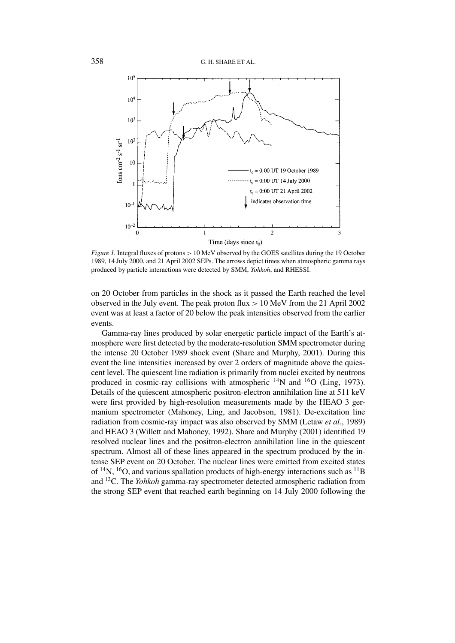

*Figure 1.* Integral fluxes of protons *>* 10 MeV observed by the GOES satellites during the 19 October 1989, 14 July 2000, and 21 April 2002 SEPs. The arrows depict times when atmospheric gamma rays produced by particle interactions were detected by SMM, *Yohkoh*, and RHESSI.

on 20 October from particles in the shock as it passed the Earth reached the level observed in the July event. The peak proton flux *>* 10 MeV from the 21 April 2002 event was at least a factor of 20 below the peak intensities observed from the earlier events.

Gamma-ray lines produced by solar energetic particle impact of the Earth's atmosphere were first detected by the moderate-resolution SMM spectrometer during the intense 20 October 1989 shock event (Share and Murphy, 2001). During this event the line intensities increased by over 2 orders of magnitude above the quiescent level. The quiescent line radiation is primarily from nuclei excited by neutrons produced in cosmic-ray collisions with atmospheric <sup>14</sup>N and <sup>16</sup>O (Ling, 1973). Details of the quiescent atmospheric positron-electron annihilation line at 511 keV were first provided by high-resolution measurements made by the HEAO 3 germanium spectrometer (Mahoney, Ling, and Jacobson, 1981). De-excitation line radiation from cosmic-ray impact was also observed by SMM (Letaw *et al.*, 1989) and HEAO 3 (Willett and Mahoney, 1992). Share and Murphy (2001) identified 19 resolved nuclear lines and the positron-electron annihilation line in the quiescent spectrum. Almost all of these lines appeared in the spectrum produced by the intense SEP event on 20 October. The nuclear lines were emitted from excited states of  $^{14}N$ ,  $^{16}O$ , and various spallation products of high-energy interactions such as  $^{11}B$ and 12C. The *Yohkoh* gamma-ray spectrometer detected atmospheric radiation from the strong SEP event that reached earth beginning on 14 July 2000 following the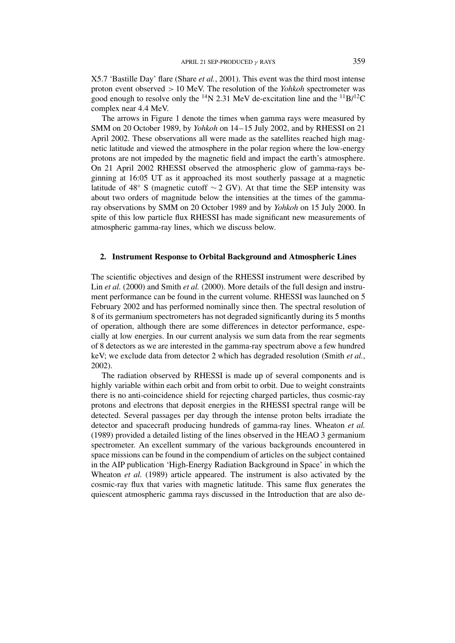X5.7 'Bastille Day' flare (Share *et al.*, 2001). This event was the third most intense proton event observed *>* 10 MeV. The resolution of the *Yohkoh* spectrometer was good enough to resolve only the <sup>14</sup>N 2.31 MeV de-excitation line and the <sup>11</sup>B/<sup>12</sup>C complex near 4.4 MeV.

The arrows in Figure 1 denote the times when gamma rays were measured by SMM on 20 October 1989, by *Yohkoh* on 14–15 July 2002, and by RHESSI on 21 April 2002. These observations all were made as the satellites reached high magnetic latitude and viewed the atmosphere in the polar region where the low-energy protons are not impeded by the magnetic field and impact the earth's atmosphere. On 21 April 2002 RHESSI observed the atmospheric glow of gamma-rays beginning at 16:05 UT as it approached its most southerly passage at a magnetic latitude of 48° S (magnetic cutoff  $\sim$  2 GV). At that time the SEP intensity was about two orders of magnitude below the intensities at the times of the gammaray observations by SMM on 20 October 1989 and by *Yohkoh* on 15 July 2000. In spite of this low particle flux RHESSI has made significant new measurements of atmospheric gamma-ray lines, which we discuss below.

## **2. Instrument Response to Orbital Background and Atmospheric Lines**

The scientific objectives and design of the RHESSI instrument were described by Lin *et al.* (2000) and Smith *et al.* (2000). More details of the full design and instrument performance can be found in the current volume. RHESSI was launched on 5 February 2002 and has performed nominally since then. The spectral resolution of 8 of its germanium spectrometers has not degraded significantly during its 5 months of operation, although there are some differences in detector performance, especially at low energies. In our current analysis we sum data from the rear segments of 8 detectors as we are interested in the gamma-ray spectrum above a few hundred keV; we exclude data from detector 2 which has degraded resolution (Smith *et al.*, 2002).

The radiation observed by RHESSI is made up of several components and is highly variable within each orbit and from orbit to orbit. Due to weight constraints there is no anti-coincidence shield for rejecting charged particles, thus cosmic-ray protons and electrons that deposit energies in the RHESSI spectral range will be detected. Several passages per day through the intense proton belts irradiate the detector and spacecraft producing hundreds of gamma-ray lines. Wheaton *et al.* (1989) provided a detailed listing of the lines observed in the HEAO 3 germanium spectrometer. An excellent summary of the various backgrounds encountered in space missions can be found in the compendium of articles on the subject contained in the AIP publication 'High-Energy Radiation Background in Space' in which the Wheaton *et al.* (1989) article appeared. The instrument is also activated by the cosmic-ray flux that varies with magnetic latitude. This same flux generates the quiescent atmospheric gamma rays discussed in the Introduction that are also de-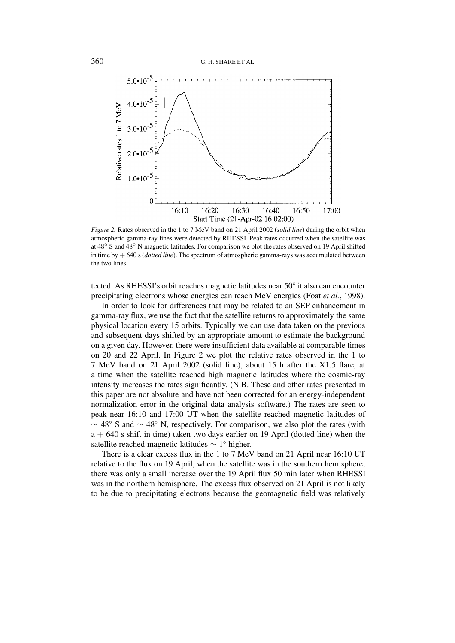

*Figure 2.* Rates observed in the 1 to 7 MeV band on 21 April 2002 (*solid line*) during the orbit when atmospheric gamma-ray lines were detected by RHESSI. Peak rates occurred when the satellite was at 48◦ S and 48◦ N magnetic latitudes. For comparison we plot the rates observed on 19 April shifted in time by + 640 s (*dotted line*). The spectrum of atmospheric gamma-rays was accumulated between the two lines.

tected. As RHESSI's orbit reaches magnetic latitudes near 50◦ it also can encounter precipitating electrons whose energies can reach MeV energies (Foat *et al.*, 1998).

In order to look for differences that may be related to an SEP enhancement in gamma-ray flux, we use the fact that the satellite returns to approximately the same physical location every 15 orbits. Typically we can use data taken on the previous and subsequent days shifted by an appropriate amount to estimate the background on a given day. However, there were insufficient data available at comparable times on 20 and 22 April. In Figure 2 we plot the relative rates observed in the 1 to 7 MeV band on 21 April 2002 (solid line), about 15 h after the X1.5 flare, at a time when the satellite reached high magnetic latitudes where the cosmic-ray intensity increases the rates significantly. (N.B. These and other rates presented in this paper are not absolute and have not been corrected for an energy-independent normalization error in the original data analysis software.) The rates are seen to peak near 16:10 and 17:00 UT when the satellite reached magnetic latitudes of  $\sim$  48° S and  $\sim$  48° N, respectively. For comparison, we also plot the rates (with  $a + 640$  s shift in time) taken two days earlier on 19 April (dotted line) when the satellite reached magnetic latitudes ∼ 1◦ higher.

There is a clear excess flux in the 1 to 7 MeV band on 21 April near 16:10 UT relative to the flux on 19 April, when the satellite was in the southern hemisphere; there was only a small increase over the 19 April flux 50 min later when RHESSI was in the northern hemisphere. The excess flux observed on 21 April is not likely to be due to precipitating electrons because the geomagnetic field was relatively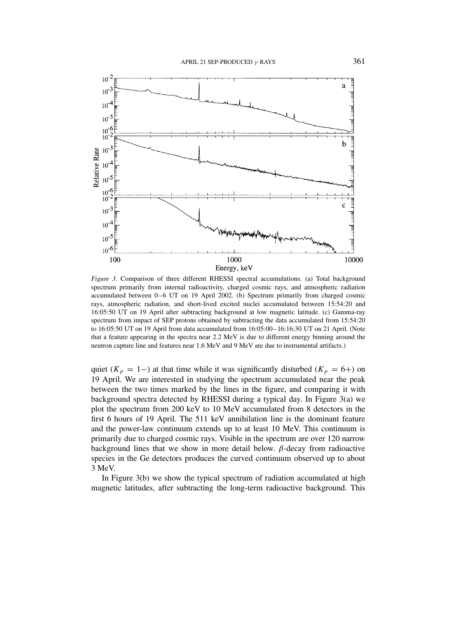

*Figure 3.* Comparison of three different RHESSI spectral accumulations. (a) Total background spectrum primarily from internal radioactivity, charged cosmic rays, and atmospheric radiation accumulated between 0–6 UT on 19 April 2002. (b) Spectrum primarily from charged cosmic rays, atmospheric radiation, and short-lived excited nuclei accumulated between 15:54:20 and 16:05:50 UT on 19 April after subtracting background at low magnetic latitude. (c) Gamma-ray spectrum from impact of SEP protons obtained by subtracting the data accumulated from 15:54:20 to 16:05:50 UT on 19 April from data accumulated from 16:05:00–16:16:30 UT on 21 April. (Note that a feature appearing in the spectra near 2.2 MeV is due to different energy binning around the neutron capture line and features near 1.6 MeV and 9 MeV are due to instrumental artifacts.)

quiet ( $K_p = 1-$ ) at that time while it was significantly disturbed ( $K_p = 6+$ ) on 19 April. We are interested in studying the spectrum accumulated near the peak between the two times marked by the lines in the figure, and comparing it with background spectra detected by RHESSI during a typical day. In Figure 3(a) we plot the spectrum from 200 keV to 10 MeV accumulated from 8 detectors in the first 6 hours of 19 April. The 511 keV annihilation line is the dominant feature and the power-law continuum extends up to at least 10 MeV. This continuum is primarily due to charged cosmic rays. Visible in the spectrum are over 120 narrow background lines that we show in more detail below. *β*-decay from radioactive species in the Ge detectors produces the curved continuum observed up to about 3 MeV.

In Figure 3(b) we show the typical spectrum of radiation accumulated at high magnetic latitudes, after subtracting the long-term radioactive background. This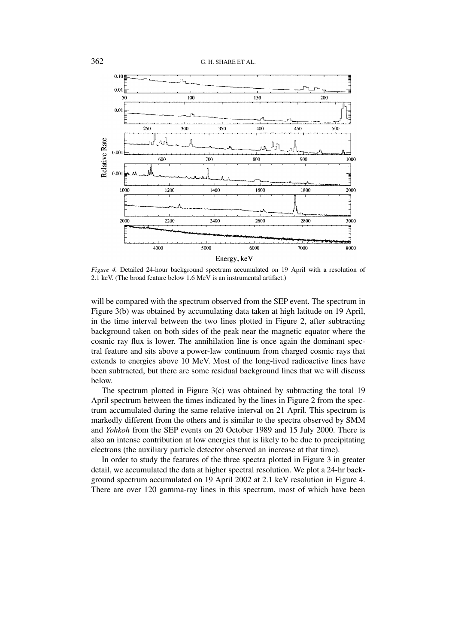

*Figure 4.* Detailed 24-hour background spectrum accumulated on 19 April with a resolution of 2.1 keV. (The broad feature below 1.6 MeV is an instrumental artifact.)

will be compared with the spectrum observed from the SEP event. The spectrum in Figure 3(b) was obtained by accumulating data taken at high latitude on 19 April, in the time interval between the two lines plotted in Figure 2, after subtracting background taken on both sides of the peak near the magnetic equator where the cosmic ray flux is lower. The annihilation line is once again the dominant spectral feature and sits above a power-law continuum from charged cosmic rays that extends to energies above 10 MeV. Most of the long-lived radioactive lines have been subtracted, but there are some residual background lines that we will discuss below.

The spectrum plotted in Figure  $3(c)$  was obtained by subtracting the total 19 April spectrum between the times indicated by the lines in Figure 2 from the spectrum accumulated during the same relative interval on 21 April. This spectrum is markedly different from the others and is similar to the spectra observed by SMM and *Yohkoh* from the SEP events on 20 October 1989 and 15 July 2000. There is also an intense contribution at low energies that is likely to be due to precipitating electrons (the auxiliary particle detector observed an increase at that time).

In order to study the features of the three spectra plotted in Figure 3 in greater detail, we accumulated the data at higher spectral resolution. We plot a 24-hr background spectrum accumulated on 19 April 2002 at 2.1 keV resolution in Figure 4. There are over 120 gamma-ray lines in this spectrum, most of which have been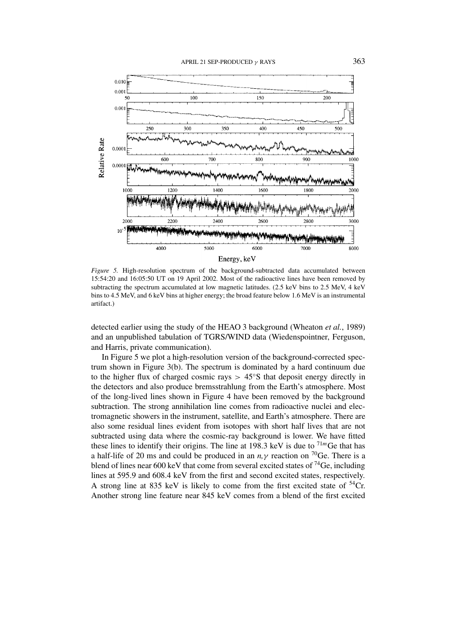

*Figure 5.* High-resolution spectrum of the background-subtracted data accumulated between 15:54:20 and 16:05:50 UT on 19 April 2002. Most of the radioactive lines have been removed by subtracting the spectrum accumulated at low magnetic latitudes. (2.5 keV bins to 2.5 MeV, 4 keV bins to 4.5 MeV, and 6 keV bins at higher energy; the broad feature below 1.6 MeV is an instrumental artifact.)

detected earlier using the study of the HEAO 3 background (Wheaton *et al.*, 1989) and an unpublished tabulation of TGRS/WIND data (Wiedenspointner, Ferguson, and Harris, private communication).

In Figure 5 we plot a high-resolution version of the background-corrected spectrum shown in Figure 3(b). The spectrum is dominated by a hard continuum due to the higher flux of charged cosmic rays *>* 45◦S that deposit energy directly in the detectors and also produce bremsstrahlung from the Earth's atmosphere. Most of the long-lived lines shown in Figure 4 have been removed by the background subtraction. The strong annihilation line comes from radioactive nuclei and electromagnetic showers in the instrument, satellite, and Earth's atmosphere. There are also some residual lines evident from isotopes with short half lives that are not subtracted using data where the cosmic-ray background is lower. We have fitted these lines to identify their origins. The line at 198.3 keV is due to  $71m$  Ge that has a half-life of 20 ms and could be produced in an  $n, \gamma$  reaction on <sup>70</sup>Ge. There is a blend of lines near 600 keV that come from several excited states of  $^{74}$ Ge, including lines at 595.9 and 608.4 keV from the first and second excited states, respectively. A strong line at 835 keV is likely to come from the first excited state of  $54$ Cr. Another strong line feature near 845 keV comes from a blend of the first excited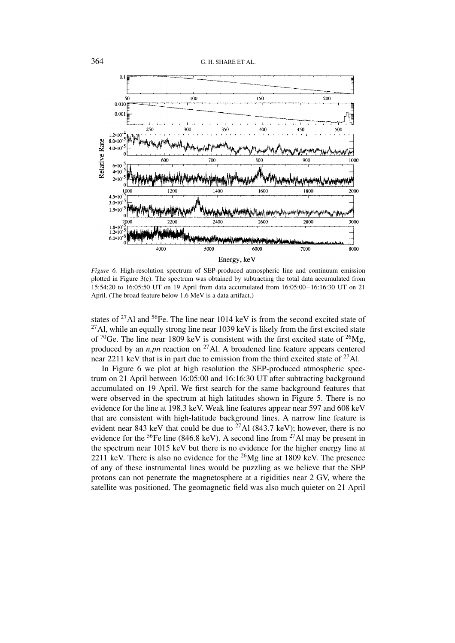

*Figure 6.* High-resolution spectrum of SEP-produced atmospheric line and continuum emission plotted in Figure 3(c). The spectrum was obtained by subtracting the total data accumulated from 15:54:20 to 16:05:50 UT on 19 April from data accumulated from 16:05:00–16:16:30 UT on 21 April. (The broad feature below 1.6 MeV is a data artifact.)

states of  $^{27}$ Al and  $^{56}$ Fe. The line near 1014 keV is from the second excited state of  $^{27}$ Al, while an equally strong line near 1039 keV is likely from the first excited state of  ${}^{70}$ Ge. The line near 1809 keV is consistent with the first excited state of  ${}^{26}Mg$ , produced by an *n,pn* reaction on 27Al. A broadened line feature appears centered near 2211 keV that is in part due to emission from the third excited state of  $^{27}$ Al.

In Figure 6 we plot at high resolution the SEP-produced atmospheric spectrum on 21 April between 16:05:00 and 16:16:30 UT after subtracting background accumulated on 19 April. We first search for the same background features that were observed in the spectrum at high latitudes shown in Figure 5. There is no evidence for the line at 198.3 keV. Weak line features appear near 597 and 608 keV that are consistent with high-latitude background lines. A narrow line feature is evident near 843 keV that could be due to  $^{27}$ Al (843.7 keV); however, there is no evidence for the  ${}^{56}Fe$  line (846.8 keV). A second line from  ${}^{27}Al$  may be present in the spectrum near 1015 keV but there is no evidence for the higher energy line at 2211 keV. There is also no evidence for the  $^{26}Mg$  line at 1809 keV. The presence of any of these instrumental lines would be puzzling as we believe that the SEP protons can not penetrate the magnetosphere at a rigidities near 2 GV, where the satellite was positioned. The geomagnetic field was also much quieter on 21 April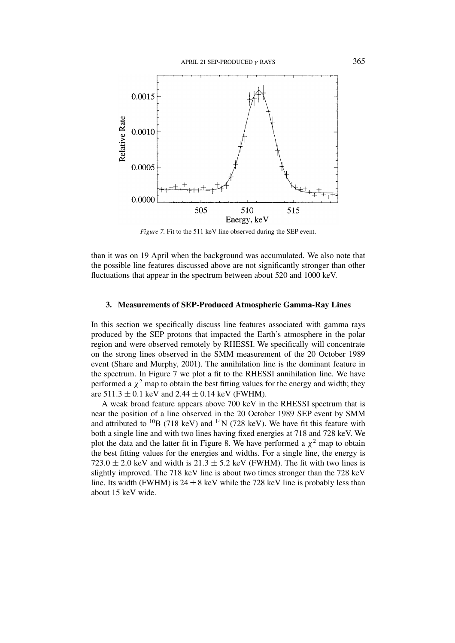

*Figure 7.* Fit to the 511 keV line observed during the SEP event.

than it was on 19 April when the background was accumulated. We also note that the possible line features discussed above are not significantly stronger than other fluctuations that appear in the spectrum between about 520 and 1000 keV.

# **3. Measurements of SEP-Produced Atmospheric Gamma-Ray Lines**

In this section we specifically discuss line features associated with gamma rays produced by the SEP protons that impacted the Earth's atmosphere in the polar region and were observed remotely by RHESSI. We specifically will concentrate on the strong lines observed in the SMM measurement of the 20 October 1989 event (Share and Murphy, 2001). The annihilation line is the dominant feature in the spectrum. In Figure 7 we plot a fit to the RHESSI annihilation line. We have performed a  $\chi^2$  map to obtain the best fitting values for the energy and width; they are  $511.3 \pm 0.1$  keV and  $2.44 \pm 0.14$  keV (FWHM).

A weak broad feature appears above 700 keV in the RHESSI spectrum that is near the position of a line observed in the 20 October 1989 SEP event by SMM and attributed to  $^{10}B$  (718 keV) and  $^{14}N$  (728 keV). We have fit this feature with both a single line and with two lines having fixed energies at 718 and 728 keV. We plot the data and the latter fit in Figure 8. We have performed a  $\chi^2$  map to obtain the best fitting values for the energies and widths. For a single line, the energy is 723.0  $\pm$  2.0 keV and width is 21.3  $\pm$  5.2 keV (FWHM). The fit with two lines is slightly improved. The 718 keV line is about two times stronger than the 728 keV line. Its width (FWHM) is  $24 \pm 8$  keV while the 728 keV line is probably less than about 15 keV wide.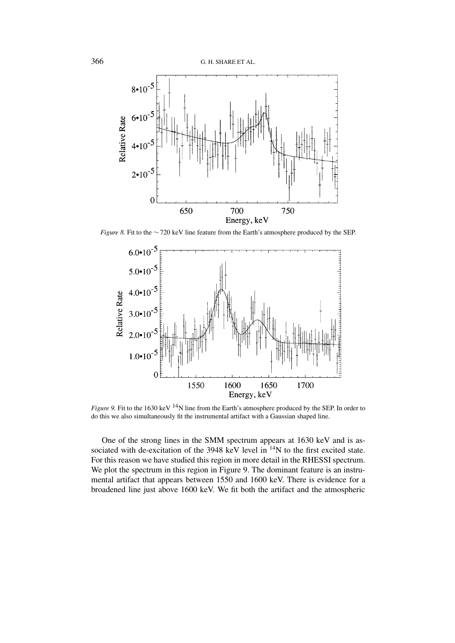

*Figure 8.* Fit to the ∼720 keV line feature from the Earth's atmosphere produced by the SEP.



*Figure 9.* Fit to the 1630 keV <sup>14</sup>N line from the Earth's atmosphere produced by the SEP. In order to do this we also simultaneously fit the instrumental artifact with a Gaussian shaped line.

One of the strong lines in the SMM spectrum appears at 1630 keV and is associated with de-excitation of the 3948 keV level in  $14$ N to the first excited state. For this reason we have studied this region in more detail in the RHESSI spectrum. We plot the spectrum in this region in Figure 9. The dominant feature is an instrumental artifact that appears between 1550 and 1600 keV. There is evidence for a broadened line just above 1600 keV. We fit both the artifact and the atmospheric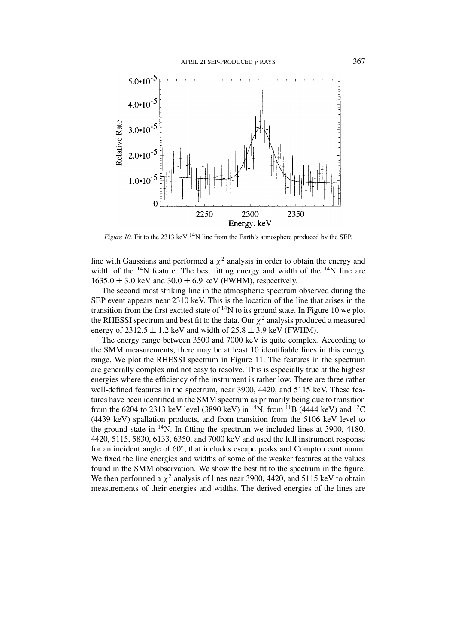

*Figure 10.* Fit to the 2313 keV  $^{14}N$  line from the Earth's atmosphere produced by the SEP.

line with Gaussians and performed a  $\chi^2$  analysis in order to obtain the energy and width of the  $14N$  feature. The best fitting energy and width of the  $14N$  line are  $1635.0 \pm 3.0$  keV and  $30.0 \pm 6.9$  keV (FWHM), respectively.

The second most striking line in the atmospheric spectrum observed during the SEP event appears near 2310 keV. This is the location of the line that arises in the transition from the first excited state of  $14N$  to its ground state. In Figure 10 we plot the RHESSI spectrum and best fit to the data. Our  $\chi^2$  analysis produced a measured energy of  $2312.5 \pm 1.2$  keV and width of  $25.8 \pm 3.9$  keV (FWHM).

The energy range between 3500 and 7000 keV is quite complex. According to the SMM measurements, there may be at least 10 identifiable lines in this energy range. We plot the RHESSI spectrum in Figure 11. The features in the spectrum are generally complex and not easy to resolve. This is especially true at the highest energies where the efficiency of the instrument is rather low. There are three rather well-defined features in the spectrum, near 3900, 4420, and 5115 keV. These features have been identified in the SMM spectrum as primarily being due to transition from the 6204 to 2313 keV level (3890 keV) in <sup>14</sup>N, from <sup>11</sup>B (4444 keV) and <sup>12</sup>C (4439 keV) spallation products, and from transition from the 5106 keV level to the ground state in  $14N$ . In fitting the spectrum we included lines at 3900, 4180, 4420, 5115, 5830, 6133, 6350, and 7000 keV and used the full instrument response for an incident angle of 60◦, that includes escape peaks and Compton continuum. We fixed the line energies and widths of some of the weaker features at the values found in the SMM observation. We show the best fit to the spectrum in the figure. We then performed a  $\chi^2$  analysis of lines near 3900, 4420, and 5115 keV to obtain measurements of their energies and widths. The derived energies of the lines are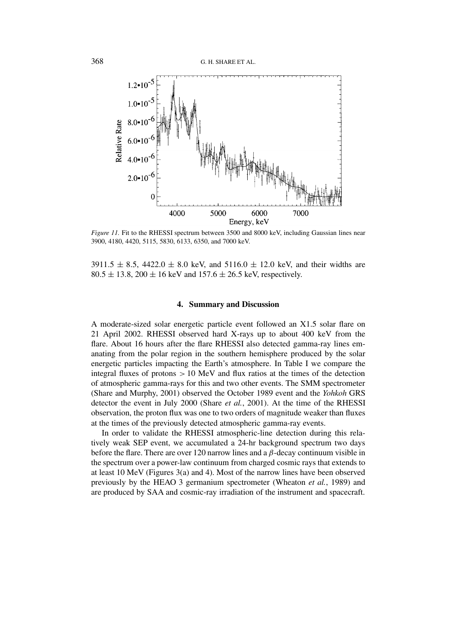

*Figure 11.* Fit to the RHESSI spectrum between 3500 and 8000 keV, including Gaussian lines near 3900, 4180, 4420, 5115, 5830, 6133, 6350, and 7000 keV.

 $3911.5 \pm 8.5$ ,  $4422.0 \pm 8.0$  keV, and  $5116.0 \pm 12.0$  keV, and their widths are  $80.5 \pm 13.8$ ,  $200 \pm 16$  keV and  $157.6 \pm 26.5$  keV, respectively.

## **4. Summary and Discussion**

A moderate-sized solar energetic particle event followed an X1.5 solar flare on 21 April 2002. RHESSI observed hard X-rays up to about 400 keV from the flare. About 16 hours after the flare RHESSI also detected gamma-ray lines emanating from the polar region in the southern hemisphere produced by the solar energetic particles impacting the Earth's atmosphere. In Table I we compare the integral fluxes of protons *>* 10 MeV and flux ratios at the times of the detection of atmospheric gamma-rays for this and two other events. The SMM spectrometer (Share and Murphy, 2001) observed the October 1989 event and the *Yohkoh* GRS detector the event in July 2000 (Share *et al.*, 2001). At the time of the RHESSI observation, the proton flux was one to two orders of magnitude weaker than fluxes at the times of the previously detected atmospheric gamma-ray events.

In order to validate the RHESSI atmospheric-line detection during this relatively weak SEP event, we accumulated a 24-hr background spectrum two days before the flare. There are over 120 narrow lines and a *β*-decay continuum visible in the spectrum over a power-law continuum from charged cosmic rays that extends to at least 10 MeV (Figures 3(a) and 4). Most of the narrow lines have been observed previously by the HEAO 3 germanium spectrometer (Wheaton *et al.*, 1989) and are produced by SAA and cosmic-ray irradiation of the instrument and spacecraft.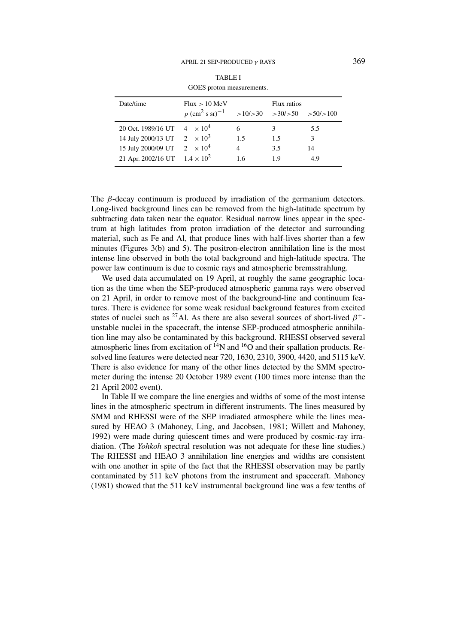| GOES proton measurements.            |                                           |     |                                |     |  |  |
|--------------------------------------|-------------------------------------------|-----|--------------------------------|-----|--|--|
| Date/time                            | Flux > 10 MeV                             |     | Flux ratios                    |     |  |  |
|                                      | $p~(\text{cm}^2~\text{s}~\text{sr})^{-1}$ |     | $>10/>30$ $>30/>50$ $>50/>100$ |     |  |  |
| 20 Oct. 1989/16 UT $4 \times 10^4$   |                                           | 6   | 3                              | 5.5 |  |  |
| 14 July 2000/13 UT $2 \times 10^3$   |                                           | 1.5 | 1.5                            | 3   |  |  |
| 15 July 2000/09 UT $2 \times 10^4$   |                                           | 4   | 3.5                            | 14  |  |  |
| 21 Apr. 2002/16 UT $1.4 \times 10^2$ |                                           | 1.6 | 1.9                            | 4.9 |  |  |

The *β*-decay continuum is produced by irradiation of the germanium detectors. Long-lived background lines can be removed from the high-latitude spectrum by subtracting data taken near the equator. Residual narrow lines appear in the spectrum at high latitudes from proton irradiation of the detector and surrounding material, such as Fe and Al, that produce lines with half-lives shorter than a few minutes (Figures 3(b) and 5). The positron-electron annihilation line is the most intense line observed in both the total background and high-latitude spectra. The power law continuum is due to cosmic rays and atmospheric bremsstrahlung.

We used data accumulated on 19 April, at roughly the same geographic location as the time when the SEP-produced atmospheric gamma rays were observed on 21 April, in order to remove most of the background-line and continuum features. There is evidence for some weak residual background features from excited states of nuclei such as <sup>27</sup>Al. As there are also several sources of short-lived  $\beta^+$ unstable nuclei in the spacecraft, the intense SEP-produced atmospheric annihilation line may also be contaminated by this background. RHESSI observed several atmospheric lines from excitation of  $^{14}N$  and  $^{16}O$  and their spallation products. Resolved line features were detected near 720, 1630, 2310, 3900, 4420, and 5115 keV. There is also evidence for many of the other lines detected by the SMM spectrometer during the intense 20 October 1989 event (100 times more intense than the 21 April 2002 event).

In Table II we compare the line energies and widths of some of the most intense lines in the atmospheric spectrum in different instruments. The lines measured by SMM and RHESSI were of the SEP irradiated atmosphere while the lines measured by HEAO 3 (Mahoney, Ling, and Jacobsen, 1981; Willett and Mahoney, 1992) were made during quiescent times and were produced by cosmic-ray irradiation. (The *Yohkoh* spectral resolution was not adequate for these line studies.) The RHESSI and HEAO 3 annihilation line energies and widths are consistent with one another in spite of the fact that the RHESSI observation may be partly contaminated by 511 keV photons from the instrument and spacecraft. Mahoney (1981) showed that the 511 keV instrumental background line was a few tenths of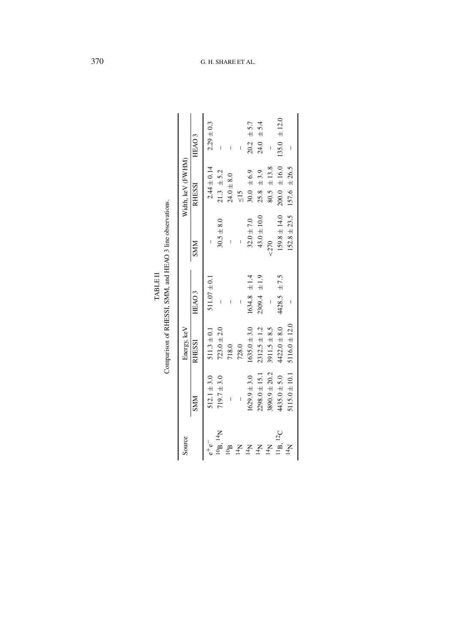| FIRANT | <br>i<br>م<br>م<br>and HEAO 3 I <sup>2</sup><br>WWS ISSHEE<br>$\frac{1}{2}$<br>י יי היי הי |
|--------|--------------------------------------------------------------------------------------------|
|--------|--------------------------------------------------------------------------------------------|

| Source               |                          | Energy, keV       |                     |                  | Width, keV (FWHM) |                          |
|----------------------|--------------------------|-------------------|---------------------|------------------|-------------------|--------------------------|
|                      | <b>NINS</b>              | <b>RHESSI</b>     | HEAO <sub>3</sub>   | <b>SMM</b>       | RHESSI            | HEAO <sub>3</sub>        |
|                      | $512.1 \pm 3.0$          | $511.3 \pm 0.1$   | $511.07 \pm 0.1$    |                  | $2.44 \pm 0.14$   | $2.29 \pm 0.3$           |
| $^{10}$ B. $^{14}$ N | $719.7 \pm 3.0$          | $723.0 \pm 2.0$   | I                   | $30.5 + 8.0$     | $21.3 \pm 5.2$    |                          |
| $\mathbf{q}_{01}$    |                          | 718.0             |                     |                  | $24.0 + 8.0$      |                          |
| $N_{\rm H}$          | $\overline{\phantom{a}}$ | 728.0             | I                   |                  | $\frac{5}{5}$     | $\overline{\phantom{a}}$ |
| $\rm N_{H}$          | $1629.9 \pm 3.0$         | $1635.0 \pm 3.0$  | $1634.8 \pm 1.4$    | $32.0 \pm 7.0$   | 30.0 $\pm 6.9$    | $20.2 \pm 5.7$           |
| 14 <sub>N</sub>      | $2298.0 \pm 15.1$        | $2312.5 \pm 1.2$  | $\pm$ 1.9<br>2309.4 | $43.0 \pm 10.0$  | $25.8 \pm 3.9$    | $\pm 5.4$<br>24.0        |
| 14 <sub>N</sub>      | $3890.9 \pm 20.2$        | $3911.5 \pm 8.5$  |                     | 270              | $80.5 \pm 13.8$   | $\overline{\phantom{a}}$ |
| $^{11}B$ , $^{12}C$  | $4435.0 \pm 5.0$         | $4422.0 \pm 8.0$  | $4428.5 \pm 7.5$    | $159.8 \pm 14.0$ | $200.0 \pm 16.0$  | $135.0 \pm 12.0$         |
| $N_{\rm H}$          | $5115.0 \pm 10.1$        | $5116.0 \pm 12.0$ |                     | $152.8 \pm 23.5$ | $157.6 \pm 26.5$  |                          |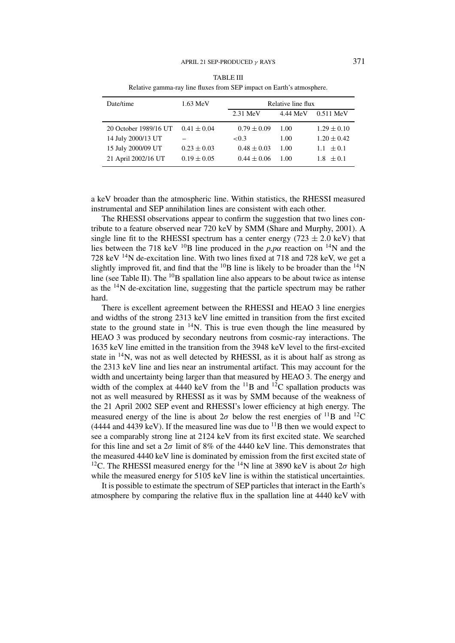| Date/time             | $1.63 \text{ MeV}$ | Relative line flux |          |                 |
|-----------------------|--------------------|--------------------|----------|-----------------|
|                       |                    |                    |          |                 |
|                       |                    | $2.31$ MeV         | 4.44 MeV | $0.511$ MeV     |
| 20 October 1989/16 UT | $0.41 \pm 0.04$    | $0.79 \pm 0.09$    | 1.00     | $1.29 \pm 0.10$ |
| 14 July 2000/13 UT    |                    | ${<}0.3$           | 1.00     | $1.20 \pm 0.42$ |
| 15 July 2000/09 UT    | $0.23 \pm 0.03$    | $0.48 \pm 0.03$    | 1.00     | $1.1 \pm 0.1$   |
| 21 April 2002/16 UT   | $0.19 \pm 0.05$    | $0.44 \pm 0.06$    | 1.00     | $1.8 + 0.1$     |

TABLE III Relative gamma-ray line fluxes from SEP impact on Earth's atmosphere.

a keV broader than the atmospheric line. Within statistics, the RHESSI measured instrumental and SEP annihilation lines are consistent with each other.

The RHESSI observations appear to confirm the suggestion that two lines contribute to a feature observed near 720 keV by SMM (Share and Murphy, 2001). A single line fit to the RHESSI spectrum has a center energy  $(723 \pm 2.0 \text{ keV})$  that lies between the 718 keV <sup>10</sup>B line produced in the *p,p* $\alpha$  reaction on <sup>14</sup>N and the 728 keV 14N de-excitation line. With two lines fixed at 718 and 728 keV, we get a slightly improved fit, and find that the  $^{10}B$  line is likely to be broader than the  $^{14}N$ line (see Table II). The  $^{10}$ B spallation line also appears to be about twice as intense as the 14N de-excitation line, suggesting that the particle spectrum may be rather hard.

There is excellent agreement between the RHESSI and HEAO 3 line energies and widths of the strong 2313 keV line emitted in transition from the first excited state to the ground state in  $14N$ . This is true even though the line measured by HEAO 3 was produced by secondary neutrons from cosmic-ray interactions. The 1635 keV line emitted in the transition from the 3948 keV level to the first-excited state in  $14N$ , was not as well detected by RHESSI, as it is about half as strong as the 2313 keV line and lies near an instrumental artifact. This may account for the width and uncertainty being larger than that measured by HEAO 3. The energy and width of the complex at 4440 keV from the  $^{11}B$  and  $^{12}C$  spallation products was not as well measured by RHESSI as it was by SMM because of the weakness of the 21 April 2002 SEP event and RHESSI's lower efficiency at high energy. The measured energy of the line is about  $2\sigma$  below the rest energies of <sup>11</sup>B and <sup>12</sup>C (4444 and 4439 keV). If the measured line was due to  $^{11}$ B then we would expect to see a comparably strong line at 2124 keV from its first excited state. We searched for this line and set a  $2\sigma$  limit of 8% of the 4440 keV line. This demonstrates that the measured 4440 keV line is dominated by emission from the first excited state of <sup>12</sup>C. The RHESSI measured energy for the <sup>14</sup>N line at 3890 keV is about  $2\sigma$  high while the measured energy for 5105 keV line is within the statistical uncertainties.

It is possible to estimate the spectrum of SEP particles that interact in the Earth's atmosphere by comparing the relative flux in the spallation line at 4440 keV with